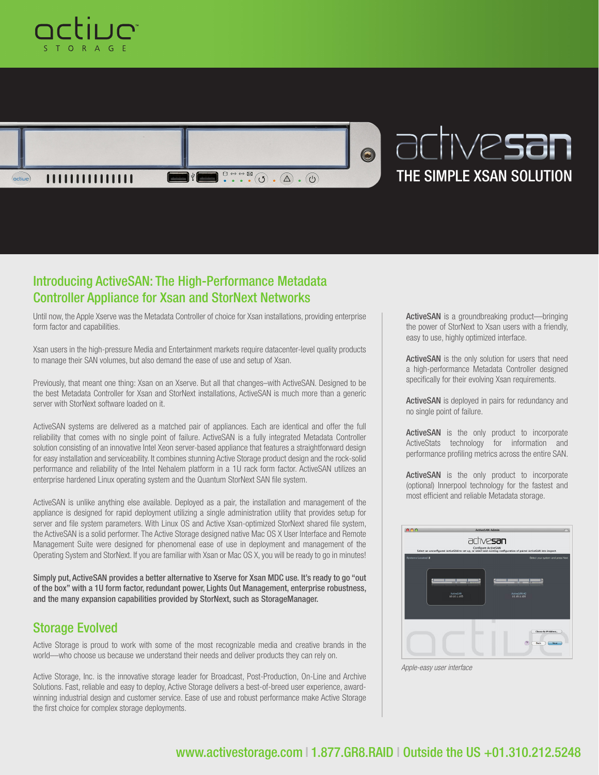



## Introducing ActiveSAN: The High-Performance Metadata Controller Appliance for Xsan and StorNext Networks

Until now, the Apple Xserve was the Metadata Controller of choice for Xsan installations, providing enterprise form factor and capabilities.

Xsan users in the high-pressure Media and Entertainment markets require datacenter-level quality products to manage their SAN volumes, but also demand the ease of use and setup of Xsan.

Previously, that meant one thing: Xsan on an Xserve. But all that changes–with ActiveSAN. Designed to be the best Metadata Controller for Xsan and StorNext installations, ActiveSAN is much more than a generic server with StorNext software loaded on it.

ActiveSAN systems are delivered as a matched pair of appliances. Each are identical and offer the full reliability that comes with no single point of failure. ActiveSAN is a fully integrated Metadata Controller solution consisting of an innovative Intel Xeon server-based appliance that features a straightforward design for easy installation and serviceability. It combines stunning Active Storage product design and the rock-solid performance and reliability of the Intel Nehalem platform in a 1U rack form factor. ActiveSAN utilizes an enterprise hardened Linux operating system and the Quantum StorNext SAN file system.

ActiveSAN is unlike anything else available. Deployed as a pair, the installation and management of the appliance is designed for rapid deployment utilizing a single administration utility that provides setup for server and file system parameters. With Linux OS and Active Xsan-optimized StorNext shared file system, the ActiveSAN is a solid performer. The Active Storage designed native Mac OS X User Interface and Remote Management Suite were designed for phenomenal ease of use in deployment and management of the Operating System and StorNext. If you are familiar with Xsan or Mac OS X, you will be ready to go in minutes!

Simply put, ActiveSAN provides a better alternative to Xserve for Xsan MDC use. It's ready to go "out of the box" with a 1U form factor, redundant power, Lights Out Management, enterprise robustness, and the many expansion capabilities provided by StorNext, such as StorageManager.

## Storage Evolved

Active Storage is proud to work with some of the most recognizable media and creative brands in the world––who choose us because we understand their needs and deliver products they can rely on.

Active Storage, Inc. is the innovative storage leader for Broadcast, Post-Production, On-Line and Archive Solutions. Fast, reliable and easy to deploy, Active Storage delivers a best-of-breed user experience, awardwinning industrial design and customer service. Ease of use and robust performance make Active Storage the first choice for complex storage deployments.

ActiveSAN is a groundbreaking product---bringing the power of StorNext to Xsan users with a friendly, easy to use, highly optimized interface.

ActiveSAN is the only solution for users that need a high-performance Metadata Controller designed specifically for their evolving Xsan requirements.

ActiveSAN is deployed in pairs for redundancy and no single point of failure.

ActiveSAN is the only product to incorporate ActiveStats technology for information and performance profiling metrics across the entire SAN.

ActiveSAN is the only product to incorporate (optional) Innerpool technology for the fastest and most efficient and reliable Metadata storage.



*Apple-easy user interface*